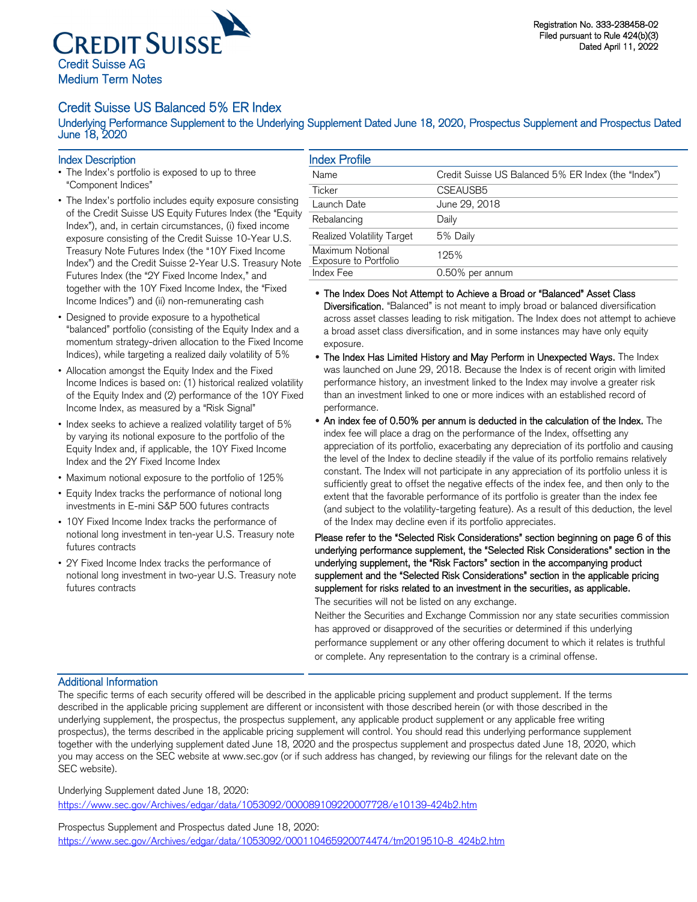

## Credit Suisse US Balanced 5% ER Index

Underlying Performance Supplement to the Underlying Supplement Dated June 18, 2020, Prospectus Supplement and Prospectus Dated June 18, 2020

- Index Description<br>• The Index's portfolio is exposed to up to three "Component Indices"
- The Index's portfolio includes equity exposure consisting of the Credit Suisse US Equity Futures Index (the "Equity Index"), and, in certain circumstances, (i) fixed income exposure consisting of the Credit Suisse 10-Year U.S. Treasury Note Futures Index (the "10Y Fixed Income Index") and the Credit Suisse 2-Year U.S. Treasury Note Futures Index (the "2Y Fixed Income Index," and together with the 10Y Fixed Income Index, the "Fixed Income Indices") and (ii) non-remunerating cash
- Designed to provide exposure to a hypothetical "balanced" portfolio (consisting of the Equity Index and a momentum strategy-driven allocation to the Fixed Income Indices), while targeting a realized daily volatility of 5%
- Allocation amongst the Equity Index and the Fixed Income Indices is based on: (1) historical realized volatility of the Equity Index and (2) performance of the 10Y Fixed Income Index, as measured by a "Risk Signal"
- Index seeks to achieve a realized volatility target of 5% by varying its notional exposure to the portfolio of the Equity Index and, if applicable, the 10Y Fixed Income Index and the 2Y Fixed Income Index
- Maximum notional exposure to the portfolio of 125%
- Equity Index tracks the performance of notional long investments in E-mini S&P 500 futures contracts
- 10Y Fixed Income Index tracks the performance of notional long investment in ten-year U.S. Treasury note futures contracts
- 2Y Fixed Income Index tracks the performance of notional long investment in two-year U.S. Treasury note futures contracts

## Index Profile

| <b>INGEX Profile</b>                             |                                                     |
|--------------------------------------------------|-----------------------------------------------------|
| <b>Name</b>                                      | Credit Suisse US Balanced 5% ER Index (the "Index") |
| Ticker                                           | CSEAUSB5                                            |
| Launch Date                                      | June 29, 2018                                       |
| Rebalancing                                      | Daily                                               |
| Realized Volatility Target                       | 5% Daily                                            |
| Maximum Notional<br><b>Exposure to Portfolio</b> | 125%                                                |
| Index Fee                                        | 0.50% per annum                                     |
|                                                  |                                                     |

## • The Index Does Not Attempt to Achieve a Broad or "Balanced" Asset Class

Diversification. "Balanced" is not meant to imply broad or balanced diversification across asset classes leading to risk mitigation. The Index does not attempt to achieve a broad asset class diversification, and in some instances may have only equity exposure.

- The Index Has Limited History and May Perform in Unexpected Ways. The Index was launched on June 29, 2018. Because the Index is of recent origin with limited performance history, an investment linked to the Index may involve a greater risk than an investment linked to one or more indices with an established record of performance.
- An index fee of 0.50% per annum is deducted in the calculation of the Index. The index fee will place a drag on the performance of the Index, offsetting any appreciation of its portfolio, exacerbating any depreciation of its portfolio and causing the level of the Index to decline steadily if the value of its portfolio remains relatively constant. The Index will not participate in any appreciation of its portfolio unless it is sufficiently great to offset the negative effects of the index fee, and then only to the extent that the favorable performance of its portfolio is greater than the index fee (and subject to the volatility-targeting feature). As a result of this deduction, the level of the Index may decline even if its portfolio appreciates.

Please refer to the "Selected Risk Considerations" section beginning on page 6 of this underlying performance supplement, the "Selected Risk Considerations" section in the underlying supplement, the "Risk Factors" section in the accompanying product supplement and the "Selected Risk Considerations" section in the applicable pricing supplement for risks related to an investment in the securities, as applicable. The securities will not be listed on any exchange.

Neither the Securities and Exchange Commission nor any state securities commission has approved or disapproved of the securities or determined if this underlying performance supplement or any other offering document to which it relates is truthful or complete. Any representation to the contrary is a criminal offense.

### Additional Information

The specific terms of each security offered will be described in the applicable pricing supplement and product supplement. If the terms described in the applicable pricing supplement are different or inconsistent with those described herein (or with those described in the underlying supplement, the prospectus, the prospectus supplement, any applicable product supplement or any applicable free writing prospectus), the terms described in the applicable pricing supplement will control. You should read this underlying performance supplement together with the underlying supplement dated June 18, 2020 and the prospectus supplement and prospectus dated June 18, 2020, which you may access on the SEC website at www.sec.gov (or if such address has changed, by reviewing our filings for the relevant date on the SEC website).

Underlying Supplement dated June 18, 2020: https://www.sec.gov/Archives/edgar/data/1053092/000089109220007728/e10139-424b2.htm

Prospectus Supplement and Prospectus dated June 18, 2020: https://www.sec.gov/Archives/edgar/data/1053092/000110465920074474/tm2019510-8\_424b2.htm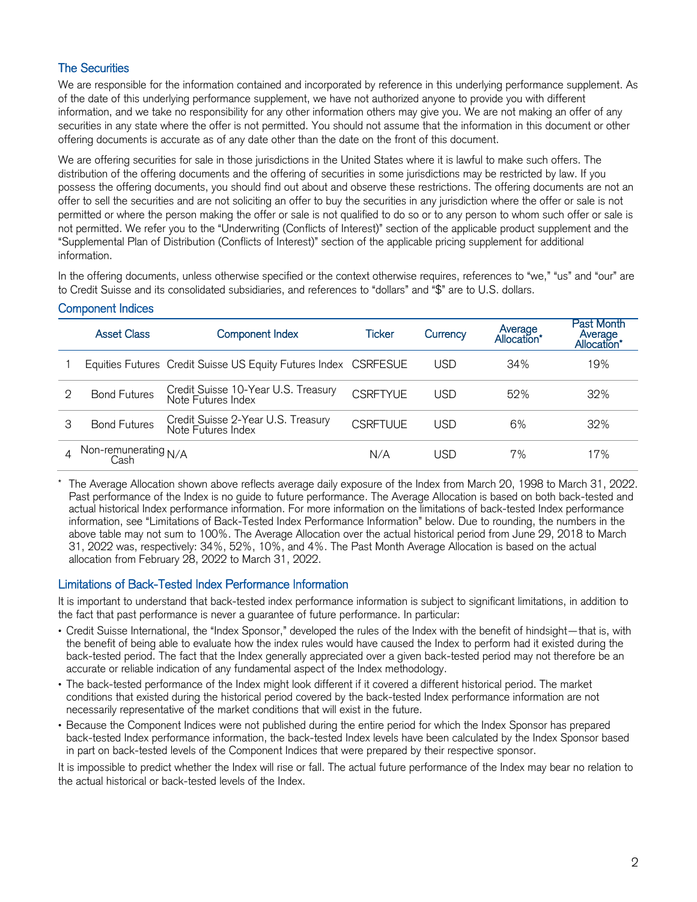# The Securities

We are responsible for the information contained and incorporated by reference in this underlying performance supplement. As of the date of this underlying performance supplement, we have not authorized anyone to provide you with different information, and we take no responsibility for any other information others may give you. We are not making an offer of any securities in any state where the offer is not permitted. You should not assume that the information in this document or other offering documents is accurate as of any date other than the date on the front of this document.

We are offering securities for sale in those jurisdictions in the United States where it is lawful to make such offers. The distribution of the offering documents and the offering of securities in some jurisdictions may be restricted by law. If you possess the offering documents, you should find out about and observe these restrictions. The offering documents are not an offer to sell the securities and are not soliciting an offer to buy the securities in any jurisdiction where the offer or sale is not permitted or where the person making the offer or sale is not qualified to do so or to any person to whom such offer or sale is not permitted. We refer you to the "Underwriting (Conflicts of Interest)" section of the applicable product supplement and the "Supplemental Plan of Distribution (Conflicts of Interest)" section of the applicable pricing supplement for additional information.

In the offering documents, unless otherwise specified or the context otherwise requires, references to "we," "us" and "our" are to Credit Suisse and its consolidated subsidiaries, and references to "dollars" and "\$" are to U.S. dollars.

# Component Indices

|   | <b>Asset Class</b>           | <b>Component Index</b>                                          | Ticker          | Currency | Average<br>Allocation' | <b>Past Month</b><br>Average<br>Allocation' |
|---|------------------------------|-----------------------------------------------------------------|-----------------|----------|------------------------|---------------------------------------------|
|   |                              | Equities Futures Credit Suisse US Equity Futures Index CSRFESUE |                 | USD      | 34%                    | 19%                                         |
| 2 | <b>Bond Futures</b>          | Credit Suisse 10-Year U.S. Treasury<br>Note Futures Index       | <b>CSRFTYUE</b> | USD      | 52%                    | 32%                                         |
| 3 | <b>Bond Futures</b>          | Credit Suisse 2-Year U.S. Treasury<br>Note Futures Index        | <b>CSRETUUF</b> | USD      | 6%                     | 32%                                         |
|   | Non-remunerating N/A<br>Cash |                                                                 | N/A             | USD      | 7%                     | 17%                                         |

The Average Allocation shown above reflects average daily exposure of the Index from March 20, 1998 to March 31, 2022. Past performance of the Index is no guide to future performance. The Average Allocation is based on both back-tested and actual historical Index performance information. For more information on the limitations of back-tested Index performance information, see "Limitations of Back-Tested Index Performance Information" below. Due to rounding, the numbers in the above table may not sum to 100%. The Average Allocation over the actual historical period from June 29, 2018 to March 31, 2022 was, respectively: 34%, 52%, 10%, and 4%. The Past Month Average Allocation is based on the actual allocation from February 28, 2022 to March 31, 2022.

## Limitations of Back-Tested Index Performance Information

It is important to understand that back-tested index performance information is subject to significant limitations, in addition to the fact that past performance is never a guarantee of future performance. In particular:

- Credit Suisse International, the "Index Sponsor," developed the rules of the Index with the benefit of hindsight—that is, with the benefit of being able to evaluate how the index rules would have caused the Index to perform had it existed during the back-tested period. The fact that the Index generally appreciated over a given back-tested period may not therefore be an accurate or reliable indication of any fundamental aspect of the Index methodology.
- The back-tested performance of the Index might look different if it covered a different historical period. The market conditions that existed during the historical period covered by the back-tested Index performance information are not necessarily representative of the market conditions that will exist in the future.
- Because the Component Indices were not published during the entire period for which the Index Sponsor has prepared back-tested Index performance information, the back-tested Index levels have been calculated by the Index Sponsor based in part on back-tested levels of the Component Indices that were prepared by their respective sponsor.

It is impossible to predict whether the Index will rise or fall. The actual future performance of the Index may bear no relation to the actual historical or back-tested levels of the Index.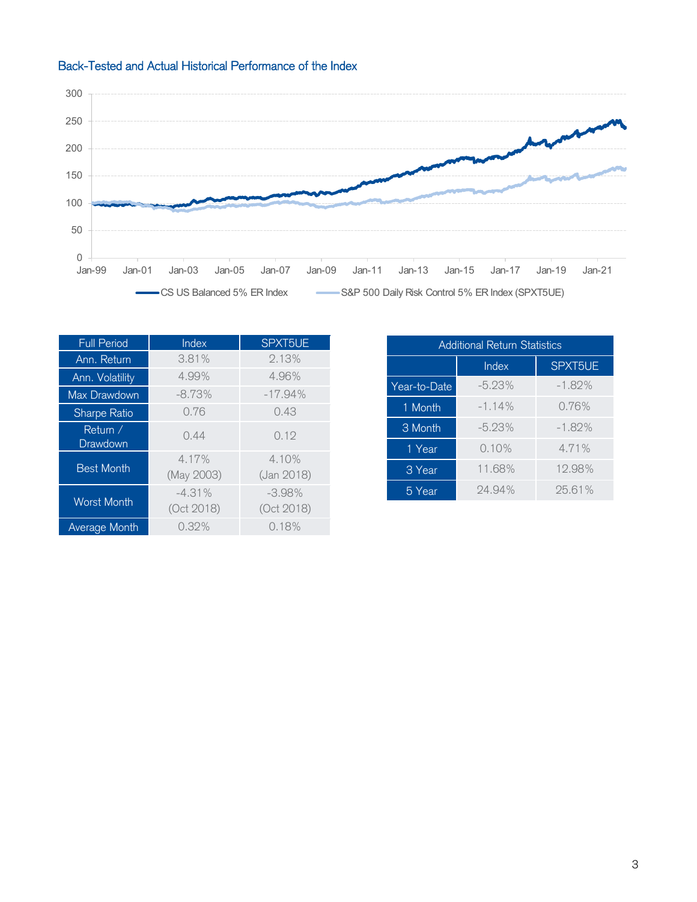



| <b>Full Period</b>   | Index                  | SPXT5UE                |  |  |  |
|----------------------|------------------------|------------------------|--|--|--|
| Ann. Return          | 3.81%                  | 2.13%                  |  |  |  |
| Ann. Volatility      | 4.99%                  | 4.96%                  |  |  |  |
| Max Drawdown         | $-8.73%$               | $-17.94%$              |  |  |  |
| Sharpe Ratio         | 0.76                   | 0.43                   |  |  |  |
| Return /<br>Drawdown | 0.44                   | 0.19                   |  |  |  |
| <b>Best Month</b>    | 4.17%<br>(May 2003)    | 4.10%<br>(Jan 2018)    |  |  |  |
| <b>Worst Month</b>   | $-4.31%$<br>(Oct 2018) | $-3.98%$<br>(Oct 2018) |  |  |  |
| <b>Average Month</b> | 0.32%                  | 0.18%                  |  |  |  |

| <b>Additional Return Statistics</b> |          |          |  |  |  |  |  |
|-------------------------------------|----------|----------|--|--|--|--|--|
|                                     | Index    | SPXT5UE  |  |  |  |  |  |
| Year-to-Date                        | $-5.23%$ | $-1.82%$ |  |  |  |  |  |
| 1 Month                             | $-1.14%$ | 0.76%    |  |  |  |  |  |
| 3 Month                             | $-5.23%$ | $-1.82%$ |  |  |  |  |  |
| 1 Year                              | 0.10%    | 4.71%    |  |  |  |  |  |
| 3 Year                              | 11.68%   | 12.98%   |  |  |  |  |  |
| 5 Year                              | 24.94%   | 25.61%   |  |  |  |  |  |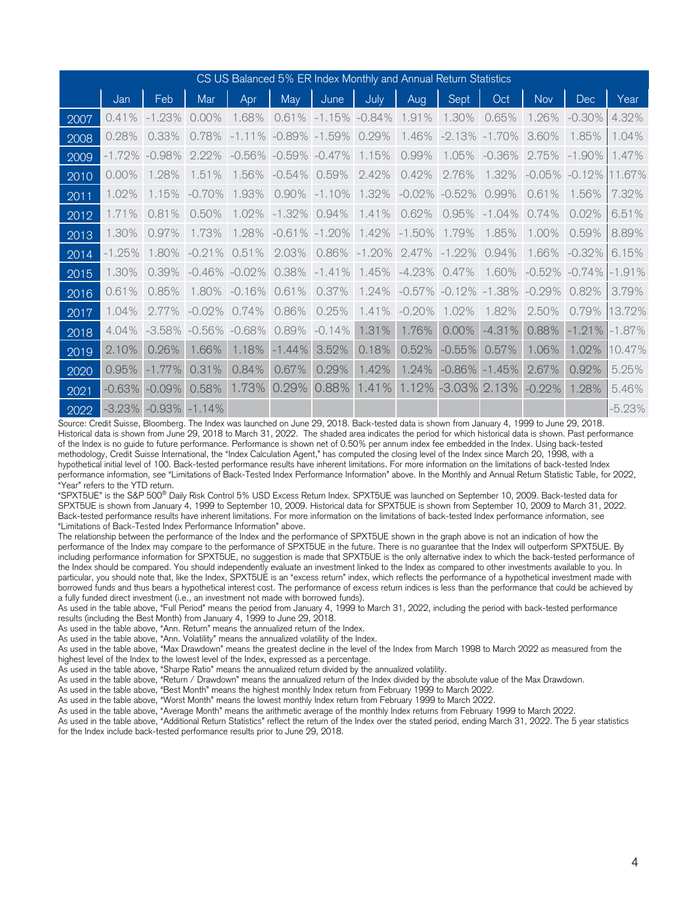| CS US Balanced 5% ER Index Monthly and Annual Return Statistics |          |              |           |              |          |          |          |                                      |          |           |          |           |          |
|-----------------------------------------------------------------|----------|--------------|-----------|--------------|----------|----------|----------|--------------------------------------|----------|-----------|----------|-----------|----------|
|                                                                 | Jan      | Feb          | Mar       | Apr          | May      | June     | July     | Aug                                  | Sept     | Oct       | Nov      | Dec       | Year     |
| 2007                                                            | 0.41%    | $-1.23%$     | 0.00%     | 1.68%        | 0.61%    | $-1.15%$ | $-0.84%$ | $\frac{9}{6}$<br>$\mathbf{1}$<br>.91 | 1.30%    | 0.65%     | 1.26%    | $-0.30%$  | 4.32%    |
| 2008                                                            | 0.28%    | 0.33%        | 0.78%     | $-1.11\%$    | $-0.89%$ | $-1.59%$ | 0.29%    | 1.46%                                | $-2.13%$ | $-1.70\%$ | 3.60%    | 1.85%     | 1.04%    |
| 2009                                                            | -1.72%   | $-0.98%$     | 2.22%     | $-0.56\%$    | $-0.59%$ | $-0.47%$ | 1.15%    | 0.99%                                | 1.05%    | $-0.36%$  | 2.75%    | $-1.90\%$ | 1.47%    |
| 2010                                                            | 0.00%    | 1.28%        | 1.51%     | 1.56%        | $-0.54%$ | 0.59%    | 2.42%    | 0.42%                                | 2.76%    | 1.32%     | $-0.05%$ | $-0.12%$  | 11.67%   |
| 2011                                                            | 1.02%    | 1.15%        | $-0.70%$  | 1.93%        | 0.90%    | $-1.10%$ | 1.32%    | $-0.02%$                             | $-0.52%$ | 0.99%     | 0.61%    | 1.56%     | 7.32%    |
| 2012                                                            | 1.71%    | $\%$<br>0.81 | 0.50%     | 1.02%        | $-1.32%$ | 0.94%    | 1.41%    | 0.62%                                | 0.95%    | $-1.04%$  | 0.74%    | 0.02%     | 6.51%    |
| 2013                                                            | 1.30%    | 0.97%        | 1.73%     | 1.28%        | $-0.61%$ | $-1.20%$ | 1.42%    | $-1.50%$                             | 1.79%    | 1.85%     | 1.00%    | 0.59%     | 8.89%    |
| 2014                                                            | $-1.25%$ | 1.80%        | $-0.21%$  | 0.51%        | 2.03%    | 0.86%    | $-1.20%$ | 2.47%                                | $-1.22%$ | 0.94%     | 1.66%    | $-0.32%$  | 6.15%    |
| 2015                                                            | 1.30%    | 0.39%        | $-0.46\%$ | .02%<br>$-0$ | 0.38%    | $-1.41%$ | 1.45%    | $-4.23%$                             | 0.47%    | 1.60%     | $-0.52%$ | $-0.74%$  | $-1.91%$ |
| 2016                                                            | 0.61%    | 0.85%        | 1.80%     | $-0.16%$     | 0.61%    | 0.37%    | 1.24%    | $-0.57%$                             | $-0.12%$ | $-1.38%$  | $-0.29%$ | 0.82%     | 3.79%    |
| 2017                                                            | 1.04%    | 2.77%        | $-0.02%$  | 0.74%        | 0.86%    | 0.25%    | 1.41%    | $-0.20%$                             | 1.02%    | 1.82%     | 2.50%    | 0.79%     | 13.72%   |
| 2018                                                            | 4.04%    | $-3.58%$     | $-0.56\%$ | $-0.68%$     | 0.89%    | $-0.14%$ | 1.31%    | 1.76%                                | 0.00%    | $-4.31%$  | 0.88%    | $-1.21%$  | $-1.87%$ |
| 2019                                                            | 2.10%    | 0.26%        | 1.66%     | 1.18%        | $-1.44%$ | 3.52%    | 0.18%    | 0.52%                                | $-0.55%$ | 0.57%     | 1.06%    | 1.02%     | 10.47%   |
| 2020                                                            | 0.95%    | $-1.77%$     | 0.31%     | 0.84%        | 0.67%    | 0.29%    | 1.42%    | 1.24%                                | $-0.86%$ | $-1.45%$  | 2.67%    | 0.92%     | 5.25%    |
| 2021                                                            | $-0.63%$ | $-0.09%$     | 0.58%     | 1.73%        | 0.29%    | 0.88%    | 1.41%    | 1.12%                                | $-3.03%$ | 2.13%     | $-0.22%$ | 1.28%     | 5.46%    |
| 2022                                                            | $-3.23%$ | $-0.93%$     | $-1.14%$  |              |          | 00.0010  |          |                                      |          |           |          |           | $-5.23%$ |

Source: Credit Suisse, Bloomberg. The Index was launched on June 29, 2018. Back-tested data is shown from January 4, 1999 to June 29, 2018. Historical data is shown from June 29, 2018 to March 31, 2022. The shaded area indicates the period for which historical data is shown. Past performance of the Index is no guide to future performance. Performance is shown net of 0.50% per annum index fee embedded in the Index. Using back-tested methodology, Credit Suisse International, the "Index Calculation Agent," has computed the closing level of the Index since March 20, 1998, with a hypothetical initial level of 100. Back-tested performance results have inherent limitations. For more information on the limitations of back-tested Index performance information, see "Limitations of Back-Tested Index Performance Information" above. In the Monthly and Annual Return Statistic Table, for 2022, "Year" refers to the YTD return.

"SPXT5UE" is the S&P 500® Daily Risk Control 5% USD Excess Return Index. SPXT5UE was launched on September 10, 2009. Back-tested data for SPXT5UE is shown from January 4, 1999 to September 10, 2009. Historical data for SPXT5UE is shown from September 10, 2009 to March 31, 2022. Back-tested performance results have inherent limitations. For more information on the limitations of back-tested Index performance information, see "Limitations of Back-Tested Index Performance Information" above.

The relationship between the performance of the Index and the performance of SPXT5UE shown in the graph above is not an indication of how the performance of the Index may compare to the performance of SPXT5UE in the future. There is no guarantee that the Index will outperform SPXT5UE. By including performance information for SPXT5UE, no suggestion is made that SPXT5UE is the only alternative index to which the back-tested performance of the Index should be compared. You should independently evaluate an investment linked to the Index as compared to other investments available to you. In particular, you should note that, like the Index, SPXT5UE is an "excess return" index, which reflects the performance of a hypothetical investment made with borrowed funds and thus bears a hypothetical interest cost. The performance of excess return indices is less than the performance that could be achieved by a fully funded direct investment (i.e., an investment not made with borrowed funds).

As used in the table above, "Full Period" means the period from January 4, 1999 to March 31, 2022, including the period with back-tested performance results (including the Best Month) from January 4, 1999 to June 29, 2018.

As used in the table above, "Ann. Return" means the annualized return of the Index.

As used in the table above, "Ann. Volatility" means the annualized volatility of the Index.

As used in the table above, "Max Drawdown" means the greatest decline in the level of the Index from March 1998 to March 2022 as measured from the highest level of the Index to the lowest level of the Index, expressed as a percentage.

As used in the table above, "Sharpe Ratio" means the annualized return divided by the annualized volatility.

As used in the table above, "Return / Drawdown" means the annualized return of the Index divided by the absolute value of the Max Drawdown.

As used in the table above, "Best Month" means the highest monthly Index return from February 1999 to March 2022.

As used in the table above, "Worst Month" means the lowest monthly Index return from February 1999 to March 2022.

As used in the table above, "Average Month" means the arithmetic average of the monthly Index returns from February 1999 to March 2022.

As used in the table above, "Additional Return Statistics" reflect the return of the Index over the stated period, ending March 31, 2022. The 5 year statistics for the Index include back-tested performance results prior to June 29, 2018.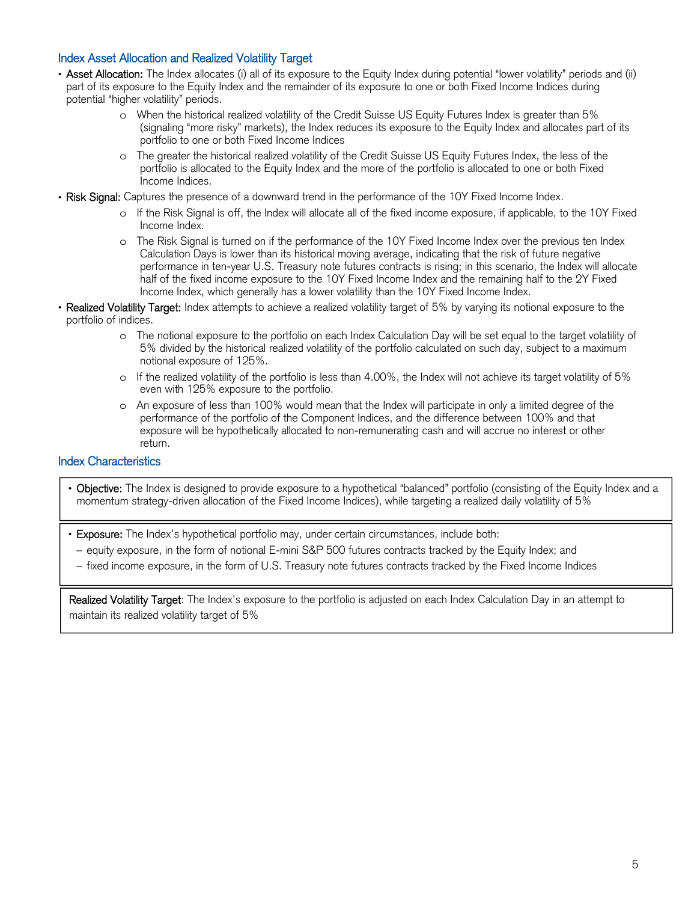## Index Asset Allocation and Realized Volatility Target

- Asset Allocation: The Index allocates (i) all of its exposure to the Equity Index during potential "lower volatility" periods and (ii) part of its exposure to the Equity Index and the remainder of its exposure to one or both Fixed Income Indices during potential "higher volatility" periods.
	- o When the historical realized volatility of the Credit Suisse US Equity Futures Index is greater than 5% (signaling "more risky" markets), the Index reduces its exposure to the Equity Index and allocates part of its portfolio to one or both Fixed Income Indices
	- o The greater the historical realized volatility of the Credit Suisse US Equity Futures Index, the less of the portfolio is allocated to the Equity Index and the more of the portfolio is allocated to one or both Fixed Income Indices.
- Risk Signal: Captures the presence of a downward trend in the performance of the 10Y Fixed Income Index.
	- o If the Risk Signal is off, the Index will allocate all of the fixed income exposure, if applicable, to the 10Y Fixed Income Index.
	- o The Risk Signal is turned on if the performance of the 10Y Fixed Income Index over the previous ten Index Calculation Days is lower than its historical moving average, indicating that the risk of future negative performance in ten-year U.S. Treasury note futures contracts is rising; in this scenario, the Index will allocate half of the fixed income exposure to the 10Y Fixed Income Index and the remaining half to the 2Y Fixed Income Index, which generally has a lower volatility than the 10Y Fixed Income Index.
- Realized Volatility Target: Index attempts to achieve a realized volatility target of 5% by varying its notional exposure to the portfolio of indices.
	- o The notional exposure to the portfolio on each Index Calculation Day will be set equal to the target volatility of 5% divided by the historical realized volatility of the portfolio calculated on such day, subject to a maximum notional exposure of 125%.
	- o If the realized volatility of the portfolio is less than 4.00%, the Index will not achieve its target volatility of 5% even with 125% exposure to the portfolio.
	- o An exposure of less than 100% would mean that the Index will participate in only a limited degree of the performance of the portfolio of the Component Indices, and the difference between 100% and that exposure will be hypothetically allocated to non-remunerating cash and will accrue no interest or other return.

## Index Characteristics

l

- Objective: The Index is designed to provide exposure to a hypothetical "balanced" portfolio (consisting of the Equity Index and a momentum strategy-driven allocation of the Fixed Income Indices), while targeting a realized daily volatility of 5%
- Exposure: The Index's hypothetical portfolio may, under certain circumstances, include both:
- equity exposure, in the form of notional E-mini S&P 500 futures contracts tracked by the Equity Index; and
- fixed income exposure, in the form of U.S. Treasury note futures contracts tracked by the Fixed Income Indices

Realized Volatility Target: The Index's exposure to the portfolio is adjusted on each Index Calculation Day in an attempt to maintain its realized volatility target of 5%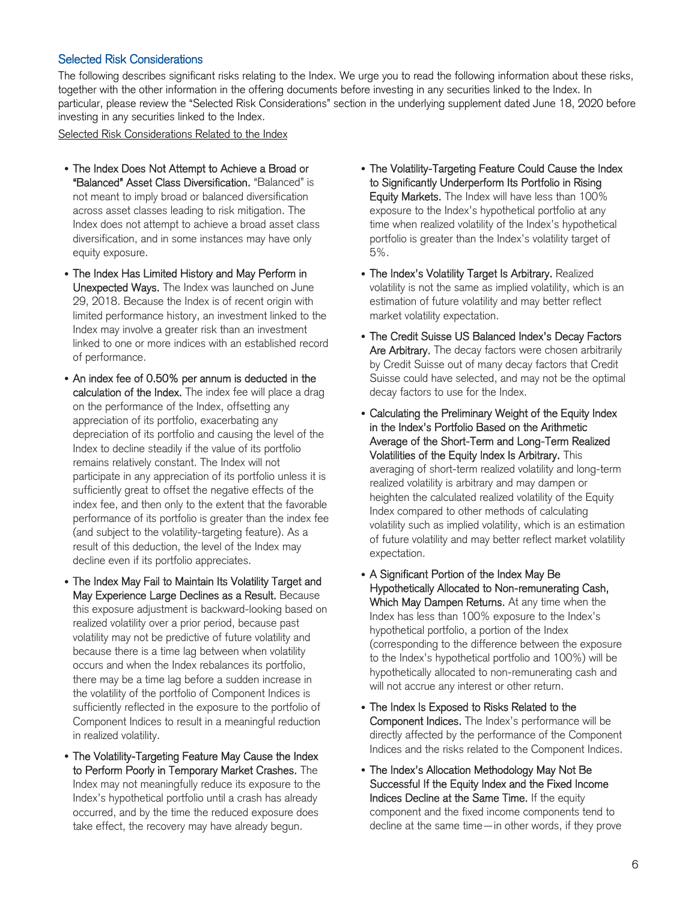## Selected Risk Considerations

The following describes significant risks relating to the Index. We urge you to read the following information about these risks, together with the other information in the offering documents before investing in any securities linked to the Index. In particular, please review the "Selected Risk Considerations" section in the underlying supplement dated June 18, 2020 before investing in any securities linked to the Index.

Selected Risk Considerations Related to the Index

- The Index Does Not Attempt to Achieve a Broad or "Balanced" Asset Class Diversification. "Balanced" is not meant to imply broad or balanced diversification across asset classes leading to risk mitigation. The Index does not attempt to achieve a broad asset class diversification, and in some instances may have only equity exposure.
- The Index Has Limited History and May Perform in Unexpected Ways. The Index was launched on June 29, 2018. Because the Index is of recent origin with limited performance history, an investment linked to the Index may involve a greater risk than an investment linked to one or more indices with an established record of performance.
- An index fee of 0.50% per annum is deducted in the calculation of the Index. The index fee will place a drag on the performance of the Index, offsetting any appreciation of its portfolio, exacerbating any depreciation of its portfolio and causing the level of the Index to decline steadily if the value of its portfolio remains relatively constant. The Index will not participate in any appreciation of its portfolio unless it is sufficiently great to offset the negative effects of the index fee, and then only to the extent that the favorable performance of its portfolio is greater than the index fee (and subject to the volatility-targeting feature). As a result of this deduction, the level of the Index may decline even if its portfolio appreciates.
- The Index May Fail to Maintain Its Volatility Target and May Experience Large Declines as a Result. Because this exposure adjustment is backward-looking based on realized volatility over a prior period, because past volatility may not be predictive of future volatility and because there is a time lag between when volatility occurs and when the Index rebalances its portfolio, there may be a time lag before a sudden increase in the volatility of the portfolio of Component Indices is sufficiently reflected in the exposure to the portfolio of Component Indices to result in a meaningful reduction in realized volatility.
- The Volatility-Targeting Feature May Cause the Index to Perform Poorly in Temporary Market Crashes. The Index may not meaningfully reduce its exposure to the Index's hypothetical portfolio until a crash has already occurred, and by the time the reduced exposure does take effect, the recovery may have already begun.
- The Volatility-Targeting Feature Could Cause the Index to Significantly Underperform Its Portfolio in Rising Equity Markets. The Index will have less than 100% exposure to the Index's hypothetical portfolio at any time when realized volatility of the Index's hypothetical portfolio is greater than the Index's volatility target of 5%.
- The Index's Volatility Target Is Arbitrary. Realized volatility is not the same as implied volatility, which is an estimation of future volatility and may better reflect market volatility expectation.
- The Credit Suisse US Balanced Index's Decay Factors Are Arbitrary. The decay factors were chosen arbitrarily by Credit Suisse out of many decay factors that Credit Suisse could have selected, and may not be the optimal decay factors to use for the Index.
- Calculating the Preliminary Weight of the Equity Index in the Index's Portfolio Based on the Arithmetic Average of the Short-Term and Long-Term Realized Volatilities of the Equity Index Is Arbitrary. This averaging of short-term realized volatility and long-term realized volatility is arbitrary and may dampen or heighten the calculated realized volatility of the Equity Index compared to other methods of calculating volatility such as implied volatility, which is an estimation of future volatility and may better reflect market volatility expectation.
- A Significant Portion of the Index May Be Hypothetically Allocated to Non-remunerating Cash, Which May Dampen Returns. At any time when the Index has less than 100% exposure to the Index's hypothetical portfolio, a portion of the Index (corresponding to the difference between the exposure to the Index's hypothetical portfolio and 100%) will be hypothetically allocated to non-remunerating cash and will not accrue any interest or other return.
- The Index Is Exposed to Risks Related to the Component Indices. The Index's performance will be directly affected by the performance of the Component Indices and the risks related to the Component Indices.
- The Index's Allocation Methodology May Not Be Successful If the Equity Index and the Fixed Income Indices Decline at the Same Time. If the equity component and the fixed income components tend to decline at the same time—in other words, if they prove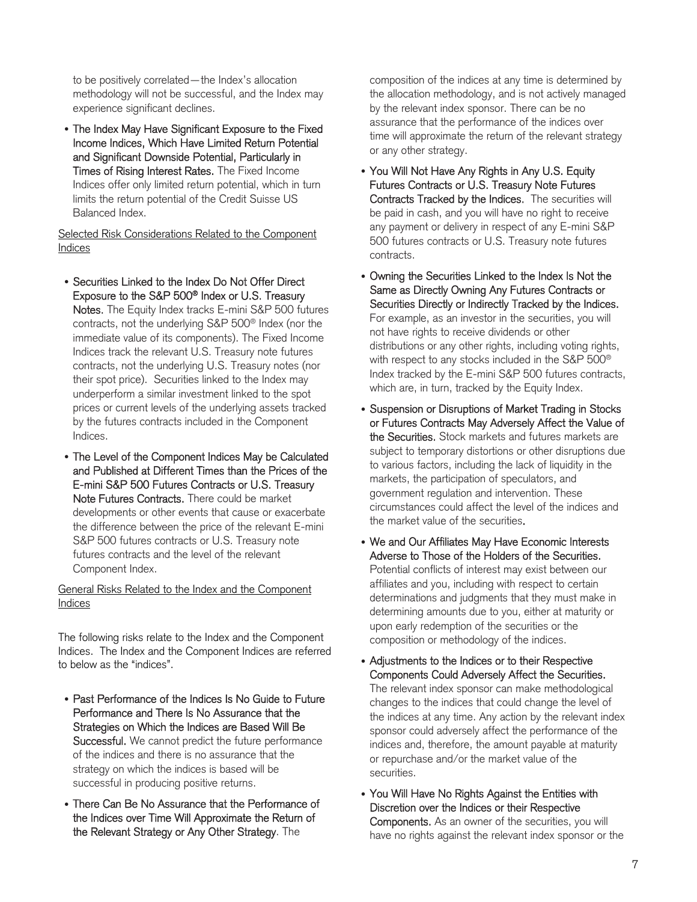to be positively correlated—the Index's allocation methodology will not be successful, and the Index may experience significant declines.

• The Index May Have Significant Exposure to the Fixed Income Indices, Which Have Limited Return Potential and Significant Downside Potential, Particularly in Times of Rising Interest Rates. The Fixed Income Indices offer only limited return potential, which in turn limits the return potential of the Credit Suisse US Balanced Index.

Selected Risk Considerations Related to the Component Indices

- Securities Linked to the Index Do Not Offer Direct Exposure to the S&P 500® Index or U.S. Treasury Notes. The Equity Index tracks E-mini S&P 500 futures contracts, not the underlying S&P 500® Index (nor the immediate value of its components). The Fixed Income Indices track the relevant U.S. Treasury note futures contracts, not the underlying U.S. Treasury notes (nor their spot price). Securities linked to the Index may underperform a similar investment linked to the spot prices or current levels of the underlying assets tracked by the futures contracts included in the Component Indices.
- The Level of the Component Indices May be Calculated and Published at Different Times than the Prices of the E-mini S&P 500 Futures Contracts or U.S. Treasury Note Futures Contracts. There could be market developments or other events that cause or exacerbate the difference between the price of the relevant E-mini S&P 500 futures contracts or U.S. Treasury note futures contracts and the level of the relevant Component Index.

General Risks Related to the Index and the Component Indices

The following risks relate to the Index and the Component Indices. The Index and the Component Indices are referred to below as the "indices".

- Past Performance of the Indices Is No Guide to Future Performance and There Is No Assurance that the Strategies on Which the Indices are Based Will Be Successful. We cannot predict the future performance of the indices and there is no assurance that the strategy on which the indices is based will be successful in producing positive returns.
- There Can Be No Assurance that the Performance of the Indices over Time Will Approximate the Return of the Relevant Strategy or Any Other Strategy. The

composition of the indices at any time is determined by the allocation methodology, and is not actively managed by the relevant index sponsor. There can be no assurance that the performance of the indices over time will approximate the return of the relevant strategy or any other strategy.

- You Will Not Have Any Rights in Any U.S. Equity Futures Contracts or U.S. Treasury Note Futures Contracts Tracked by the Indices. The securities will be paid in cash, and you will have no right to receive any payment or delivery in respect of any E-mini S&P 500 futures contracts or U.S. Treasury note futures contracts.
- Owning the Securities Linked to the Index Is Not the Same as Directly Owning Any Futures Contracts or Securities Directly or Indirectly Tracked by the Indices. For example, as an investor in the securities, you will not have rights to receive dividends or other distributions or any other rights, including voting rights, with respect to any stocks included in the S&P 500® Index tracked by the E-mini S&P 500 futures contracts, which are, in turn, tracked by the Equity Index.
- Suspension or Disruptions of Market Trading in Stocks or Futures Contracts May Adversely Affect the Value of the Securities. Stock markets and futures markets are subject to temporary distortions or other disruptions due to various factors, including the lack of liquidity in the markets, the participation of speculators, and government regulation and intervention. These circumstances could affect the level of the indices and the market value of the securities.
- We and Our Affiliates May Have Economic Interests Adverse to Those of the Holders of the Securities. Potential conflicts of interest may exist between our affiliates and you, including with respect to certain determinations and judgments that they must make in determining amounts due to you, either at maturity or upon early redemption of the securities or the composition or methodology of the indices.
- Adjustments to the Indices or to their Respective Components Could Adversely Affect the Securities. The relevant index sponsor can make methodological changes to the indices that could change the level of the indices at any time. Any action by the relevant index sponsor could adversely affect the performance of the indices and, therefore, the amount payable at maturity or repurchase and/or the market value of the securities.
- You Will Have No Rights Against the Entities with Discretion over the Indices or their Respective Components. As an owner of the securities, you will have no rights against the relevant index sponsor or the